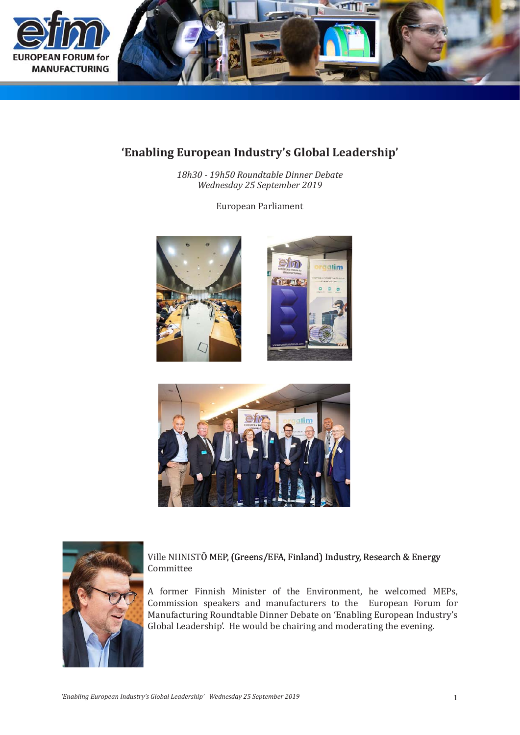

## 'Enabling European Industry's Global Leadership'

18h30 - 19h50 Roundtable Dinner Debate Wednesday 25 September 2019

European Parliament







## Ville NIINISTÖ MEP, (Greens/EFA, Finland) Industry, Research & Energy Committee

A former Finnish Minister of the Environment, he welcomed MEPs, Commission speakers and manufacturers to the European Forum for Manufacturing Roundtable Dinner Debate on 'Enabling European Industry's Global Leadership'. He would be chairing and moderating the evening.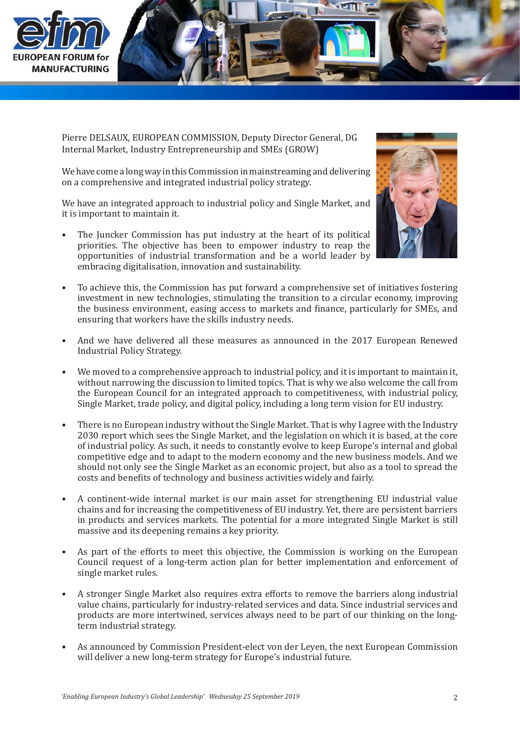

Pierre DELSAUX, EUROPEAN COMMISSION, Deputy Director General, DG Internal Market, Industry Entrepreneurship and SMEs (GROW)

We have come a long way in this Commission in mainstreaming and delivering on a comprehensive and integrated industrial policy strategy.

We have an integrated approach to industrial policy and Single Market, and it is important to maintain it.

The Juncker Commission has put industry at the heart of its political priorities. The objective has been to empower industry to reap the opportunities of industrial transformation and be a world leader by embracing digitalisation, innovation and sustainability. •



- To achieve this, the Commission has put forward a comprehensive set of initiatives fostering investment in new technologies, stimulating the transition to a circular economy, improving the business environment, easing access to markets and finance, particularly for SMEs, and ensuring that workers have the skills industry needs. •
- And we have delivered all these measures as announced in the 2017 European Renewed Industrial Policy Strategy. •
- We moved to a comprehensive approach to industrial policy, and it is important to maintain it, without narrowing the discussion to limited topics. That is why we also welcome the call from the European Council for an integrated approach to competitiveness, with industrial policy, Single Market, trade policy, and digital policy, including a long term vision for EU industry. •
- There is no European industry without the Single Market. That is why I agree with the Industry 2030 report which sees the Single Market, and the legislation on which it is based, at the core of industrial policy. As such, it needs to constantly evolve to keep Europe's internal and global competitive edge and to adapt to the modern economy and the new business models. And we should not only see the Single Market as an economic project, but also as a tool to spread the costs and benefits of technology and business activities widely and fairly. •
- A continent-wide internal market is our main asset for strengthening EU industrial value chains and for increasing the competitiveness of EU industry. Yet, there are persistent barriers in products and services markets. The potential for a more integrated Single Market is still massive and its deepening remains a key priority. •
- As part of the efforts to meet this objective, the Commission is working on the European Council request of a long-term action plan for better implementation and enforcement of single market rules. •
- A stronger Single Market also requires extra efforts to remove the barriers along industrial value chains, particularly for industry-related services and data. Since industrial services and products are more intertwined, services always need to be part of our thinking on the longterm industrial strategy. •
- As announced by Commission President-elect von der Leyen, the next European Commission will deliver a new long-term strategy for Europe's industrial future. •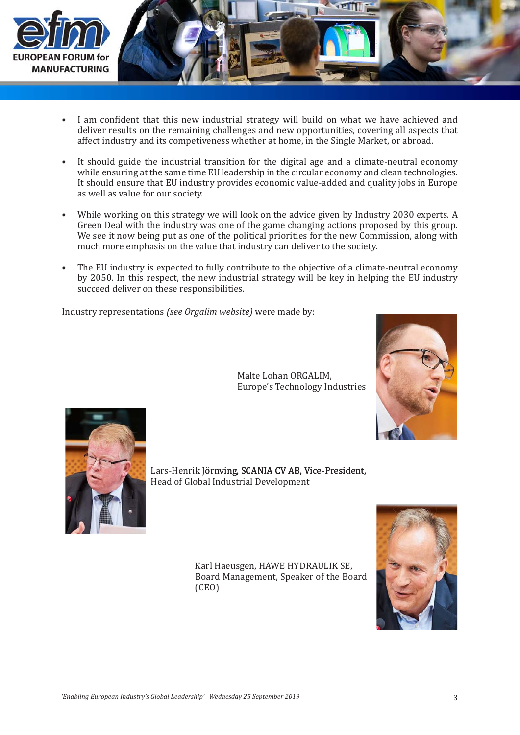

- I am confident that this new industrial strategy will build on what we have achieved and deliver results on the remaining challenges and new opportunities, covering all aspects that affect industry and its competiveness whether at home, in the Single Market, or abroad. •
- It should guide the industrial transition for the digital age and a climate-neutral economy while ensuring at the same time EU leadership in the circular economy and clean technologies. It should ensure that EU industry provides economic value-added and quality jobs in Europe as well as value for our society. •
- While working on this strategy we will look on the advice given by Industry 2030 experts. A Green Deal with the industry was one of the game changing actions proposed by this group. We see it now being put as one of the political priorities for the new Commission, along with much more emphasis on the value that industry can deliver to the society. •
- The EU industry is expected to fully contribute to the objective of a climate-neutral economy by 2050. In this respect, the new industrial strategy will be key in helping the EU industry succeed deliver on these responsibilities. •

Industry representations *(see Orgalim website)* were made by:





Lars-Henrik Jörnving, SCANIA CV AB, Vice-President, Head of Global Industrial Development

> Karl Haeusgen, HAWE HYDRAULIK SE, Board Management, Speaker of the Board (CEO)

Malte Lohan ORGALIM,

Europe's Technology Industries

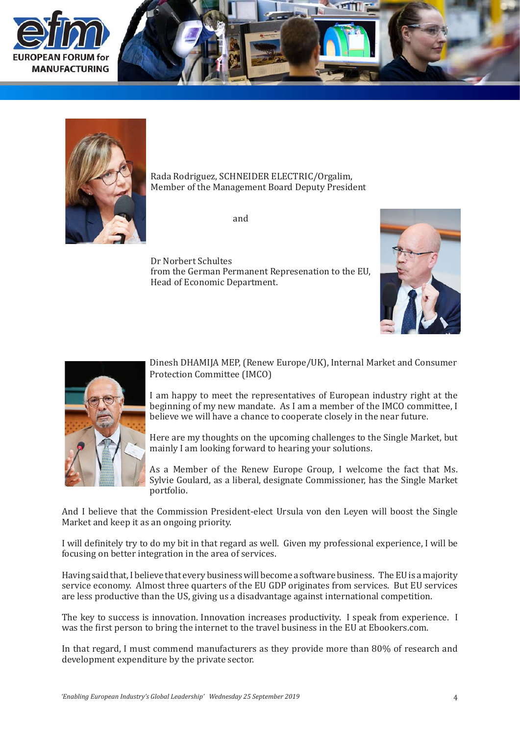





Rada Rodriguez, SCHNEIDER ELECTRIC/Orgalim, Member of the Management Board Deputy President

and and sales and sales and sales and sales and sales and sales and sales and sales  $\alpha$ 

 Dr Norbert Schultes from the German Permanent Represenation to the EU, Head of Economic Department.





Dinesh DHAMIJA MEP, (Renew Europe/UK), Internal Market and Consumer Protection Committee (IMCO)

I am happy to meet the representatives of European industry right at the beginning of my new mandate. As I am a member of the IMCO committee, I believe we will have a chance to cooperate closely in the near future.

Here are my thoughts on the upcoming challenges to the Single Market, but mainly I am looking forward to hearing your solutions.

As a Member of the Renew Europe Group, I welcome the fact that Ms. Sylvie Goulard, as a liberal, designate Commissioner, has the Single Market portfolio.

And I believe that the Commission President-elect Ursula von den Leyen will boost the Single Market and keep it as an ongoing priority.

I will definitely try to do my bit in that regard as well. Given my professional experience, I will be focusing on better integration in the area of services.

Having said that, I believe that every business will become a software business. The EU is a majority service economy. Almost three quarters of the EU GDP originates from services. But EU services are less productive than the US, giving us a disadvantage against international competition.

The key to success is innovation. Innovation increases productivity. I speak from experience. I was the first person to bring the internet to the travel business in the EU at Ebookers.com.

In that regard, I must commend manufacturers as they provide more than 80% of research and development expenditure by the private sector.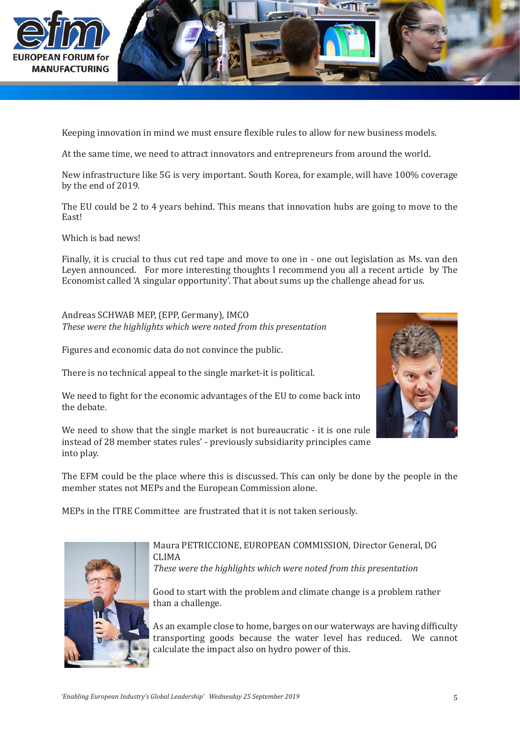

Keeping innovation in mind we must ensure flexible rules to allow for new business models.

At the same time, we need to attract innovators and entrepreneurs from around the world.

New infrastructure like 5G is very important. South Korea, for example, will have 100% coverage by the end of 2019.

The EU could be 2 to 4 years behind. This means that innovation hubs are going to move to the East!

Which is bad news!

Finally, it is crucial to thus cut red tape and move to one in - one out legislation as Ms. van den Leyen announced. For more interesting thoughts I recommend you all a recent article by The Economist called 'A singular opportunity'. That about sums up the challenge ahead for us.

Andreas SCHWAB MEP, (EPP, Germany), IMCO *These were the highlights which were noted from this presentation*

Figures and economic data do not convince the public.

There is no technical appeal to the single market-it is political.

We need to fight for the economic advantages of the EU to come back into the debate.

We need to show that the single market is not bureaucratic - it is one rule instead of 28 member states rules' - previously subsidiarity principles came into play.



MEPs in the ITRE Committee are frustrated that it is not taken seriously.



Maura PETRICCIONE, EUROPEAN COMMISSION, Director General, DG CLIMA *These were the highlights which were noted from this presentation*

Good to start with the problem and climate change is a problem rather than a challenge.

As an example close to home, barges on our waterways are having difficulty transporting goods because the water level has reduced. We cannot calculate the impact also on hydro power of this.

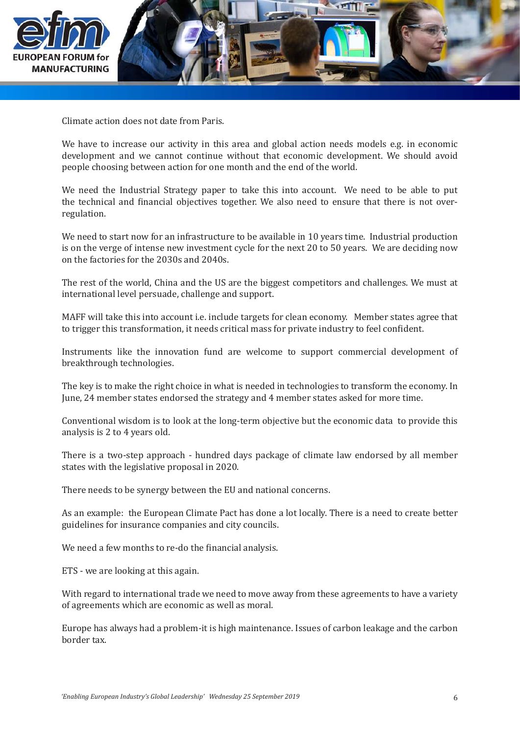

Climate action does not date from Paris.

We have to increase our activity in this area and global action needs models e.g. in economic development and we cannot continue without that economic development. We should avoid people choosing between action for one month and the end of the world.

We need the Industrial Strategy paper to take this into account. We need to be able to put the technical and financial objectives together. We also need to ensure that there is not overregulation.

We need to start now for an infrastructure to be available in 10 years time. Industrial production is on the verge of intense new investment cycle for the next 20 to 50 years. We are deciding now on the factories for the 2030s and 2040s.

The rest of the world, China and the US are the biggest competitors and challenges. We must at international level persuade, challenge and support.

MAFF will take this into account i.e. include targets for clean economy. Member states agree that to trigger this transformation, it needs critical mass for private industry to feel confident.

Instruments like the innovation fund are welcome to support commercial development of breakthrough technologies.

The key is to make the right choice in what is needed in technologies to transform the economy. In June, 24 member states endorsed the strategy and 4 member states asked for more time.

Conventional wisdom is to look at the long-term objective but the economic data to provide this analysis is 2 to 4 years old.

There is a two-step approach - hundred days package of climate law endorsed by all member states with the legislative proposal in 2020.

There needs to be synergy between the EU and national concerns.

As an example: the European Climate Pact has done a lot locally. There is a need to create better guidelines for insurance companies and city councils.

We need a few months to re-do the financial analysis.

ETS - we are looking at this again.

With regard to international trade we need to move away from these agreements to have a variety of agreements which are economic as well as moral.

Europe has always had a problem-it is high maintenance. Issues of carbon leakage and the carbon border tax.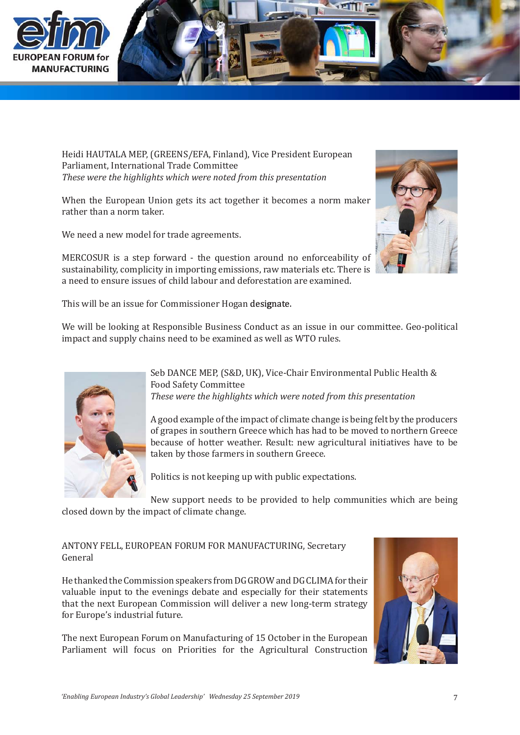



Heidi HAUTALA MEP, (GREENS/EFA, Finland), Vice President European Parliament, International Trade Committee *These were the highlights which were noted from this presentation*

When the European Union gets its act together it becomes a norm maker rather than a norm taker.

We need a new model for trade agreements.



MERCOSUR is a step forward - the question around no enforceability of sustainability, complicity in importing emissions, raw materials etc. There is a need to ensure issues of child labour and deforestation are examined.

This will be an issue for Commissioner Hogan designate.

We will be looking at Responsible Business Conduct as an issue in our committee. Geo-political impact and supply chains need to be examined as well as WTO rules.



Seb DANCE MEP, (S&D, UK), Vice-Chair Environmental Public Health & Food Safety Committee *These were the highlights which were noted from this presentation*

A good example of the impact of climate change is being felt by the producers of grapes in southern Greece which has had to be moved to northern Greece because of hotter weather. Result: new agricultural initiatives have to be taken by those farmers in southern Greece.

Politics is not keeping up with public expectations.

New support needs to be provided to help communities which are being closed down by the impact of climate change.

## ANTONY FELL, EUROPEAN FORUM FOR MANUFACTURING, Secretary General

He thanked the Commission speakers from DGGROW and DG CLIMA for their valuable input to the evenings debate and especially for their statements that the next European Commission will deliver a new long-term strategy for Europe's industrial future.

The next European Forum on Manufacturing of 15 October in the European Parliament will focus on Priorities for the Agricultural Construction